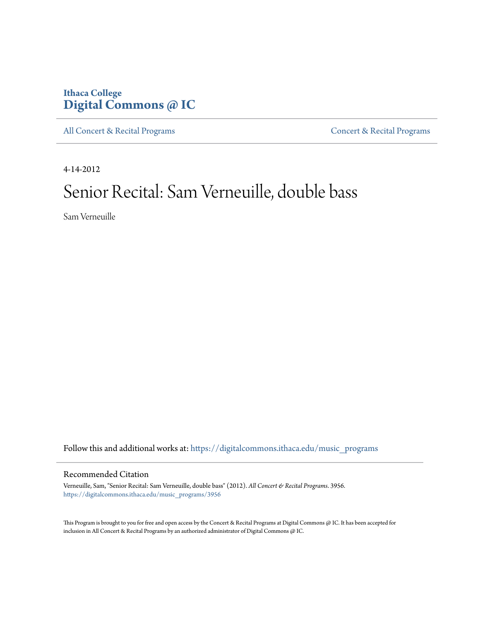### **Ithaca College [Digital Commons @ IC](https://digitalcommons.ithaca.edu?utm_source=digitalcommons.ithaca.edu%2Fmusic_programs%2F3956&utm_medium=PDF&utm_campaign=PDFCoverPages)**

[All Concert & Recital Programs](https://digitalcommons.ithaca.edu/music_programs?utm_source=digitalcommons.ithaca.edu%2Fmusic_programs%2F3956&utm_medium=PDF&utm_campaign=PDFCoverPages) **[Concert & Recital Programs](https://digitalcommons.ithaca.edu/som_programs?utm_source=digitalcommons.ithaca.edu%2Fmusic_programs%2F3956&utm_medium=PDF&utm_campaign=PDFCoverPages)** 

4-14-2012

# Senior Recital: Sam Verneuille, double bass

Sam Verneuille

Follow this and additional works at: [https://digitalcommons.ithaca.edu/music\\_programs](https://digitalcommons.ithaca.edu/music_programs?utm_source=digitalcommons.ithaca.edu%2Fmusic_programs%2F3956&utm_medium=PDF&utm_campaign=PDFCoverPages)

### Recommended Citation

Verneuille, Sam, "Senior Recital: Sam Verneuille, double bass" (2012). *All Concert & Recital Programs*. 3956. [https://digitalcommons.ithaca.edu/music\\_programs/3956](https://digitalcommons.ithaca.edu/music_programs/3956?utm_source=digitalcommons.ithaca.edu%2Fmusic_programs%2F3956&utm_medium=PDF&utm_campaign=PDFCoverPages)

This Program is brought to you for free and open access by the Concert & Recital Programs at Digital Commons @ IC. It has been accepted for inclusion in All Concert & Recital Programs by an authorized administrator of Digital Commons @ IC.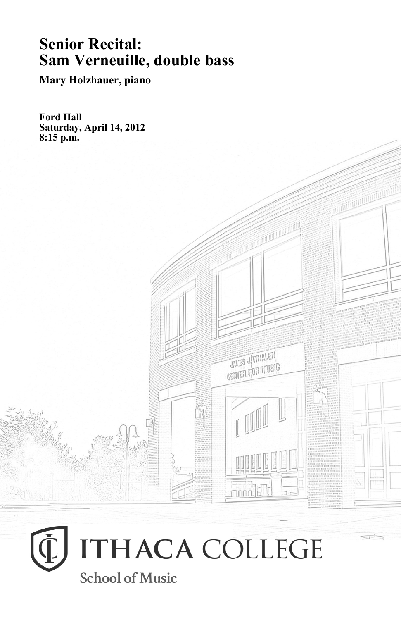## **Senior Recital: Sam Verneuille, double bass**

**Mary Holzhauer, piano**

**Ford Hall Saturday, April 14, 2012 8:15 p.m.**